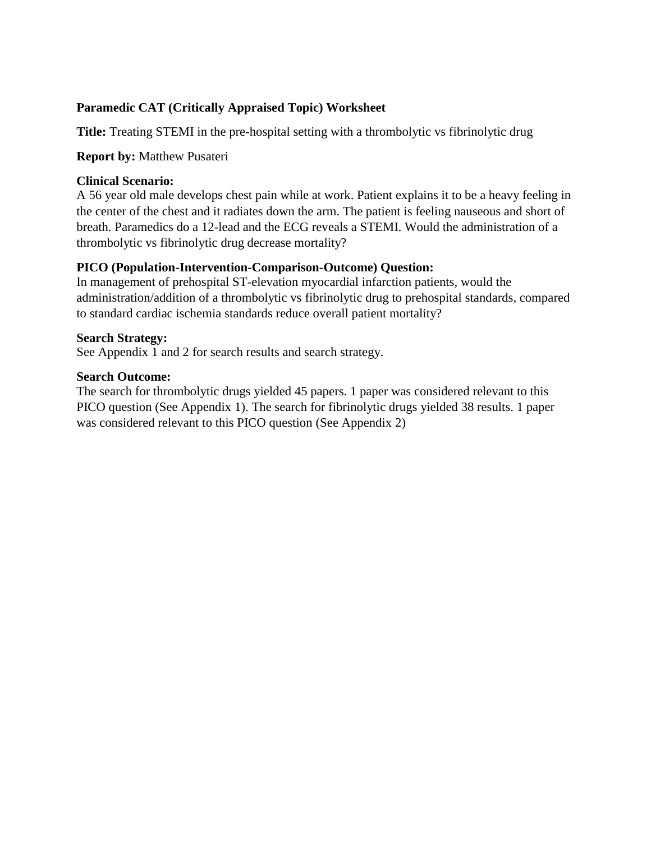## **Paramedic CAT (Critically Appraised Topic) Worksheet**

**Title:** Treating STEMI in the pre-hospital setting with a thrombolytic vs fibrinolytic drug

### **Report by:** Matthew Pusateri

### **Clinical Scenario:**

A 56 year old male develops chest pain while at work. Patient explains it to be a heavy feeling in the center of the chest and it radiates down the arm. The patient is feeling nauseous and short of breath. Paramedics do a 12-lead and the ECG reveals a STEMI. Would the administration of a thrombolytic vs fibrinolytic drug decrease mortality?

## **PICO (Population-Intervention-Comparison-Outcome) Question:**

In management of prehospital ST-elevation myocardial infarction patients, would the administration/addition of a thrombolytic vs fibrinolytic drug to prehospital standards, compared to standard cardiac ischemia standards reduce overall patient mortality?

### **Search Strategy:**

See Appendix 1 and 2 for search results and search strategy.

### **Search Outcome:**

The search for thrombolytic drugs yielded 45 papers. 1 paper was considered relevant to this PICO question (See Appendix 1). The search for fibrinolytic drugs yielded 38 results. 1 paper was considered relevant to this PICO question (See Appendix 2)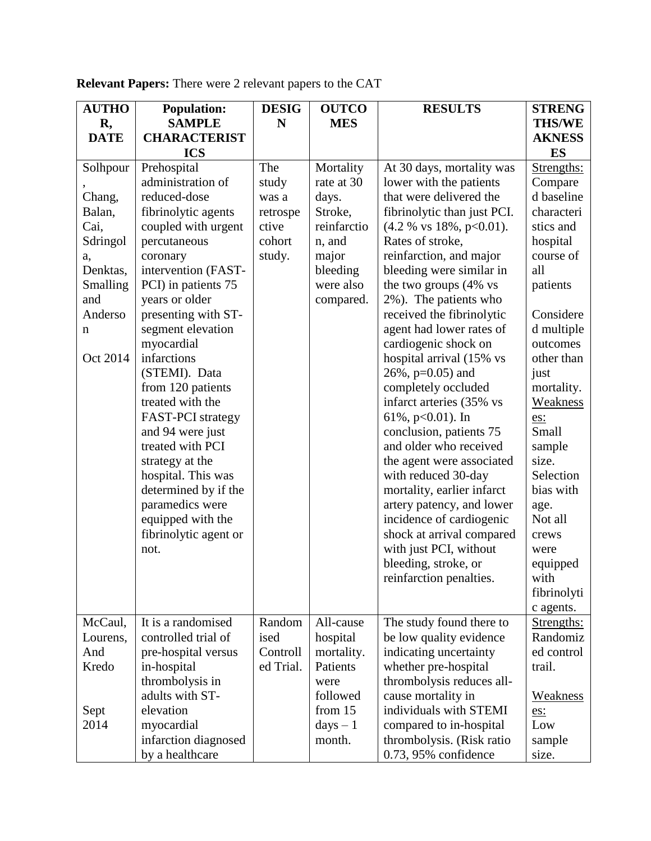| <b>AUTHO</b> | <b>Population:</b>    | <b>DESIG</b> | <b>OUTCO</b> | <b>RESULTS</b>              | <b>STRENG</b> |
|--------------|-----------------------|--------------|--------------|-----------------------------|---------------|
| R,           | <b>SAMPLE</b>         | N            | <b>MES</b>   |                             | <b>THS/WE</b> |
| <b>DATE</b>  | <b>CHARACTERIST</b>   |              |              |                             | <b>AKNESS</b> |
|              | <b>ICS</b>            |              |              |                             | ES            |
| Solhpour     | Prehospital           | The          | Mortality    | At 30 days, mortality was   | Strengths:    |
|              | administration of     | study        | rate at 30   | lower with the patients     | Compare       |
| Chang,       | reduced-dose          | was a        | days.        | that were delivered the     | d baseline    |
| Balan,       | fibrinolytic agents   | retrospe     | Stroke,      | fibrinolytic than just PCI. | characteri    |
| Cai,         | coupled with urgent   | ctive        | reinfarctio  | (4.2 % vs 18%, p<0.01).     | stics and     |
| Sdringol     | percutaneous          | cohort       | n, and       | Rates of stroke,            | hospital      |
| a,           | coronary              | study.       | major        | reinfarction, and major     | course of     |
| Denktas,     | intervention (FAST-   |              | bleeding     | bleeding were similar in    | all           |
| Smalling     | PCI) in patients 75   |              | were also    | the two groups (4% vs       | patients      |
| and          | years or older        |              | compared.    | 2%). The patients who       |               |
| Anderso      | presenting with ST-   |              |              | received the fibrinolytic   | Considere     |
| n            | segment elevation     |              |              | agent had lower rates of    | d multiple    |
|              | myocardial            |              |              | cardiogenic shock on        | outcomes      |
| Oct 2014     | infarctions           |              |              | hospital arrival (15% vs    | other than    |
|              | (STEMI). Data         |              |              | $26\%, p=0.05$ ) and        | just          |
|              | from 120 patients     |              |              | completely occluded         | mortality.    |
|              | treated with the      |              |              | infarct arteries (35% vs    | Weakness      |
|              | FAST-PCI strategy     |              |              | 61%, $p<0.01$ ). In         | es:           |
|              | and 94 were just      |              |              | conclusion, patients 75     | Small         |
|              | treated with PCI      |              |              | and older who received      | sample        |
|              | strategy at the       |              |              | the agent were associated   | size.         |
|              | hospital. This was    |              |              | with reduced 30-day         | Selection     |
|              | determined by if the  |              |              | mortality, earlier infarct  | bias with     |
|              | paramedics were       |              |              | artery patency, and lower   | age.          |
|              | equipped with the     |              |              | incidence of cardiogenic    | Not all       |
|              | fibrinolytic agent or |              |              | shock at arrival compared   | crews         |
|              | not.                  |              |              | with just PCI, without      | were          |
|              |                       |              |              | bleeding, stroke, or        | equipped      |
|              |                       |              |              | reinfarction penalties.     | with          |
|              |                       |              |              |                             | fibrinolyti   |
|              |                       |              |              |                             | c agents.     |
| McCaul,      | It is a randomised    | Random       | All-cause    | The study found there to    | Strengths:    |
| Lourens,     | controlled trial of   | ised         | hospital     | be low quality evidence     | Randomiz      |
| And          | pre-hospital versus   | Controll     | mortality.   | indicating uncertainty      | ed control    |
| Kredo        | in-hospital           | ed Trial.    | Patients     | whether pre-hospital        | trail.        |
|              | thrombolysis in       |              | were         | thrombolysis reduces all-   |               |
|              | adults with ST-       |              | followed     | cause mortality in          | Weakness      |
| Sept         | elevation             |              | from $15$    | individuals with STEMI      | es:           |
| 2014         | myocardial            |              | $days - 1$   | compared to in-hospital     | Low           |
|              | infarction diagnosed  |              | month.       | thrombolysis. (Risk ratio   | sample        |
|              | by a healthcare       |              |              | $0.73$ , 95% confidence     | size.         |

**Relevant Papers:** There were 2 relevant papers to the CAT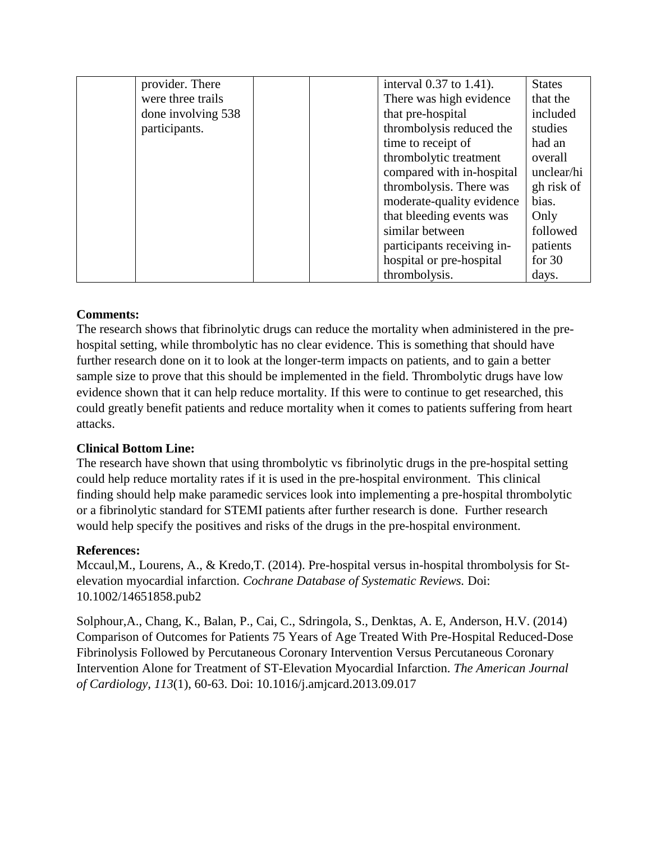| provider. There    | interval 0.37 to 1.41).    | <b>States</b> |
|--------------------|----------------------------|---------------|
| were three trails  | There was high evidence    | that the      |
| done involving 538 | that pre-hospital          | included      |
| participants.      | thrombolysis reduced the   | studies       |
|                    | time to receipt of         | had an        |
|                    | thrombolytic treatment     | overall       |
|                    | compared with in-hospital  | unclear/hi    |
|                    | thrombolysis. There was    | gh risk of    |
|                    | moderate-quality evidence  | bias.         |
|                    | that bleeding events was   | Only          |
|                    | similar between            | followed      |
|                    | participants receiving in- | patients      |
|                    | hospital or pre-hospital   | for $30$      |
|                    | thrombolysis.              | days.         |

## **Comments:**

The research shows that fibrinolytic drugs can reduce the mortality when administered in the prehospital setting, while thrombolytic has no clear evidence. This is something that should have further research done on it to look at the longer-term impacts on patients, and to gain a better sample size to prove that this should be implemented in the field. Thrombolytic drugs have low evidence shown that it can help reduce mortality. If this were to continue to get researched, this could greatly benefit patients and reduce mortality when it comes to patients suffering from heart attacks.

## **Clinical Bottom Line:**

The research have shown that using thrombolytic vs fibrinolytic drugs in the pre-hospital setting could help reduce mortality rates if it is used in the pre-hospital environment. This clinical finding should help make paramedic services look into implementing a pre-hospital thrombolytic or a fibrinolytic standard for STEMI patients after further research is done. Further research would help specify the positives and risks of the drugs in the pre-hospital environment.

## **References:**

Mccaul,M., Lourens, A., & Kredo,T. (2014). Pre-hospital versus in-hospital thrombolysis for Stelevation myocardial infarction. *Cochrane Database of Systematic Reviews.* Doi: 10.1002/14651858.pub2

Solphour,A., Chang, K., Balan, P., Cai, C., Sdringola, S., Denktas, A. E, Anderson, H.V. (2014) Comparison of Outcomes for Patients 75 Years of Age Treated With Pre-Hospital Reduced-Dose Fibrinolysis Followed by Percutaneous Coronary Intervention Versus Percutaneous Coronary Intervention Alone for Treatment of ST-Elevation Myocardial Infarction. *The American Journal of Cardiology, 113*(1), 60-63. Doi: 10.1016/j.amjcard.2013.09.017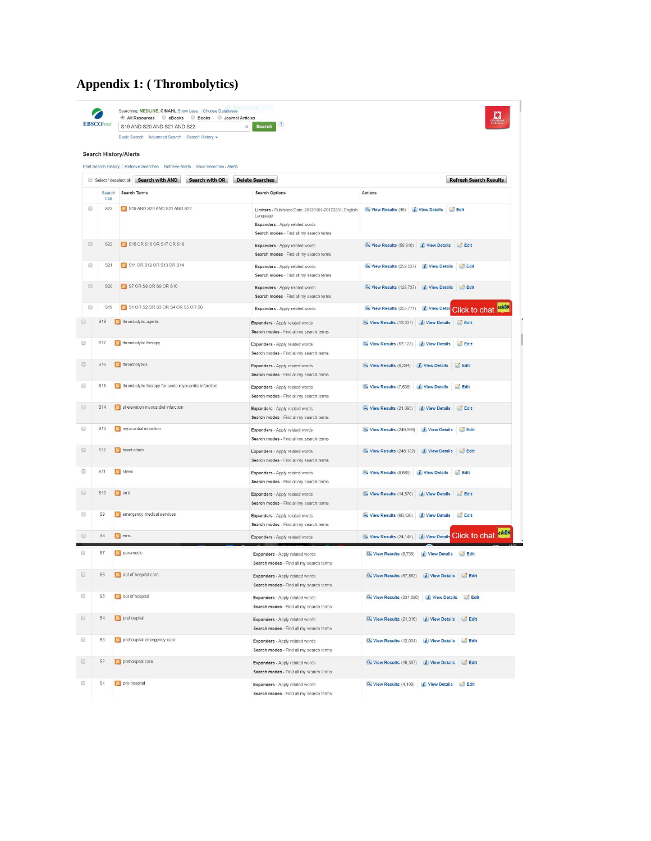## **Appendix 1: ( Thrombolytics)**

|                      | <b>EBSCOhost</b>      | Searching: MEDLINE, CINAHL Show Less   Choose Databases<br><sup>®</sup> All Resources <sup>©</sup> eBooks<br><b>Books</b><br>Journal Articles<br>S19 AND S20 AND S21 AND S22 | $\bf{C}$<br>$\times$ Search                                                                                                                     |                                                                          |
|----------------------|-----------------------|------------------------------------------------------------------------------------------------------------------------------------------------------------------------------|-------------------------------------------------------------------------------------------------------------------------------------------------|--------------------------------------------------------------------------|
|                      |                       | Basic Search Advanced Search Search History -                                                                                                                                |                                                                                                                                                 |                                                                          |
|                      |                       | <b>Search History/Alerts</b>                                                                                                                                                 |                                                                                                                                                 |                                                                          |
|                      |                       | Print Search History   Retrieve Searches   Retrieve Alerts   Save Searches / Alerts                                                                                          |                                                                                                                                                 |                                                                          |
|                      | Select / deselect all | <b>Search with OR</b><br><b>Search with AND</b>                                                                                                                              | <b>Delete Searches</b>                                                                                                                          | <b>Refresh Search Results</b>                                            |
|                      | Search<br>ID#         | <b>Search Terms</b>                                                                                                                                                          | <b>Search Options</b>                                                                                                                           | Actions                                                                  |
| $\Box$               | S23                   | S19 AND S20 AND S21 AND S22                                                                                                                                                  | Limiters - Published Date: 20120101-20170331; English<br>Language<br>Expanders - Apply related words<br>Search modes - Find all my search terms | Wiew Results (45) 7 View Details DEdit                                   |
| $\Box$               | S22                   | S15 OR S16 OR S17 OR S18                                                                                                                                                     | Expanders - Apply related words<br>Search modes - Find all my search terms                                                                      | View Results (59,810) 7 View Details<br>Edit                             |
| $\qquad \qquad \Box$ | S21                   | S11 OR S12 OR S13 OR S14                                                                                                                                                     | Expanders - Apply related words<br>Search modes - Find all my search terms                                                                      | Wiew Results (252,537) 7 View Details 7 Edit                             |
| $\qquad \qquad \Box$ | S20                   | S7 OR S8 OR S9 OR S10                                                                                                                                                        | Expanders - Apply related words<br>Search modes - Find all my search terms                                                                      | View Results (128,737) 7 View Details<br>Edit                            |
| $\Box$               | S <sub>19</sub>       | S1 OR S2 OR S3 OR S4 OR S5 OR S6                                                                                                                                             | Expanders - Apply related words                                                                                                                 | askON<br>View Results (253,771)<br><i>i</i> View Detail<br>Click to chat |
|                      | S <sub>18</sub>       | s thrombolytic agents                                                                                                                                                        | Expanders - Apply related words<br>Search modes - Find all my search terms                                                                      | Wiew Results (13,337)<br><i>I</i> View Details<br>Edit                   |
|                      | <b>S17</b>            | thrombolytic therapy                                                                                                                                                         | Expanders - Apply related words<br>Search modes - Find all my search terms                                                                      | View Results (57,123) 7 View Details 7 Edit                              |
|                      | S16                   | hrombolytics                                                                                                                                                                 | Expanders - Apply related words<br>Search modes - Find all my search terms                                                                      | Wiew Results (6,394)<br>View Details<br>Edit                             |
|                      | S <sub>15</sub>       | s thrombolytic therapy for acute myocardial infarction                                                                                                                       | Expanders - Apply related words<br>Search modes - Find all my search terms                                                                      | Wiew Results (7,538)<br><i>I</i> View Details<br>Edit                    |
|                      | S <sub>14</sub>       | st elevation my ocardial infarction                                                                                                                                          | Expanders - Apply related words<br>Search modes - Find all my search terms                                                                      | View Results (21,095) <i>i</i> View Details<br>Edit                      |
|                      | S <sub>13</sub>       | my ocardial infarction                                                                                                                                                       | Expanders - Apply related words<br>Search modes - Find all my search terms                                                                      | View Results (249,999)<br><i>i</i> View Details<br>Edit                  |
|                      | <b>S12</b>            | heart attack                                                                                                                                                                 | Expanders - Apply related words<br>Search modes - Find all my search terms                                                                      | View Results (248,132) 7 View Details 2 Edit                             |
|                      | S <sub>11</sub>       | stemi                                                                                                                                                                        | Expanders - Apply related words<br>Search modes - Find all my search terms                                                                      | Wiew Results (8,689)<br><i>I</i> View Details<br>Edit                    |
|                      | S <sub>10</sub>       | $\mathbb{R}$ emt                                                                                                                                                             | Expanders - Apply related words<br>Search modes - Find all my search terms                                                                      | Wiew Results (14,570)<br>View Details<br>Edit                            |
|                      | S9                    | a emergency medical services                                                                                                                                                 | Expanders - Apply related words<br>Search modes - Find all my search terms                                                                      | View Results (98,426) 7 View Details 3 Edit                              |
|                      | S8                    | $\hbar$ ems                                                                                                                                                                  | Expanders - Apply related words                                                                                                                 | askON<br>Click to chat<br>Wiew Results (24,145)<br><i>i</i> View Details |
|                      | S7                    | $\boxed{\mathbf{N}}$ paramedic                                                                                                                                               | Expanders - Apply related words<br>Search modes - Find all my search terms                                                                      | Wiew Results (6,736) <i>i</i> View Details <i>i</i> Edit                 |
|                      | S6                    | out of hospital car                                                                                                                                                          | Expanders - Apply related words<br>Search modes - Find all my search terms                                                                      | View Results (57,862) <i>i</i> View Details                              |
|                      | S <sub>5</sub>        | out of hospital                                                                                                                                                              | Expanders - Apply related words<br>Search modes - Find all my search terms                                                                      | Wiew Results (231,686) 7 View Details 2 Edit                             |
|                      | S <sub>4</sub>        | prehospital                                                                                                                                                                  | Expanders - Apply related words<br>Search modes - Find all my search terms                                                                      | View Results (21,316)<br><i>i</i> View Details<br>Edit                   |
|                      | S <sub>3</sub>        | prehospital emergency care                                                                                                                                                   | Expanders - Apply related words<br>Search modes - Find all my search terms                                                                      | View Results (12,004)<br>7 View Details<br>Edit                          |
|                      | S <sub>2</sub>        | prehospital care                                                                                                                                                             | Expanders - Apply related words<br>Search modes - Find all my search terms                                                                      | Wiew Results (16,397) 7 View Details 7 Edit                              |
|                      | S <sub>1</sub>        | pre-hospital                                                                                                                                                                 | Expanders - Apply related words<br>Search modes - Find all my search terms                                                                      | View Results (4,109) <i>i</i> View Details <i>d</i> Edit                 |